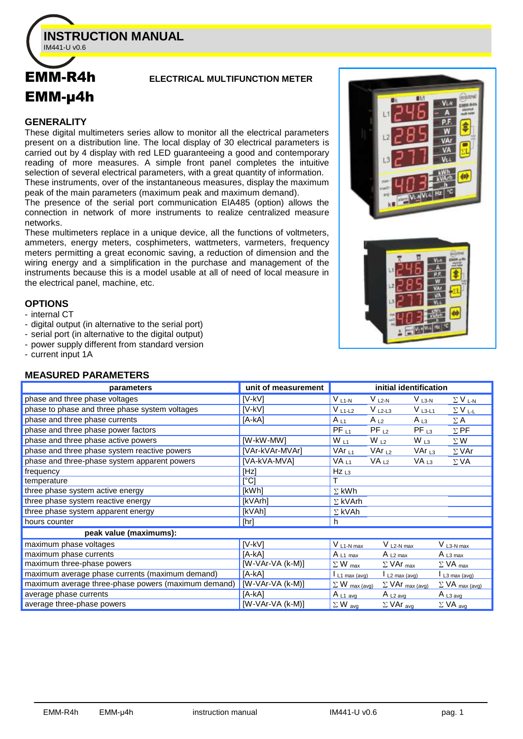

# EMM-µ4h

# EMM-R4h **ELECTRICAL MULTIFUNCTION METER**

#### **GENERALITY**

These digital multimeters series allow to monitor all the electrical parameters present on a distribution line. The local display of 30 electrical parameters is carried out by 4 display with red LED guaranteeing a good and contemporary reading of more measures. A simple front panel completes the intuitive selection of several electrical parameters, with a great quantity of information. These instruments, over of the instantaneous measures, display the maximum

peak of the main parameters (maximum peak and maximum demand).

The presence of the serial port communication EIA485 (option) allows the connection in network of more instruments to realize centralized measure networks.

These multimeters replace in a unique device, all the functions of voltmeters, ammeters, energy meters, cosphimeters, wattmeters, varmeters, frequency meters permitting a great economic saving, a reduction of dimension and the wiring energy and a simplification in the purchase and management of the instruments because this is a model usable at all of need of local measure in the electrical panel, machine, etc.

# **OPTIONS**

- internal CT

- digital output (in alternative to the serial port)
- serial port (in alternative to the digital output)
- power supply different from standard version
- current input 1A

# **MEASURED PARAMETERS**

| parameters                                          | unit of measurement |                            | initial identification                 |                  |                             |
|-----------------------------------------------------|---------------------|----------------------------|----------------------------------------|------------------|-----------------------------|
| phase and three phase voltages                      | $[V-KV]$            | $V_{L1-N}$                 | $V_{L2-N}$                             | $V_{L3-N}$       | $\Sigma$ V <sub>L-N</sub>   |
| phase to phase and three phase system voltages      | [V-kV]              | $V_{L1-L2}$                | $V_{L2-L3}$                            | $V_{L3-L1}$      | $\Sigma$ V <sub>L-L</sub>   |
| phase and three phase currents                      | [A-kA]              | $A_{L1}$                   | $A_{L2}$                               | $A_{L3}$         | $\Sigma$ A                  |
| phase and three phase power factors                 |                     | $PF_{L1}$                  | $PF_{L2}$                              | $PF_{L3}$        | $\Sigma$ PF                 |
| phase and three phase active powers                 | [W-kW-MW]           | $W_{L1}$                   | $W_{L2}$                               | $W_{L3}$         | $\Sigma$ W                  |
| phase and three phase system reactive powers        | [VAr-kVAr-MVAr]     | VAr <sub>∟1</sub>          | VAr $L_2$                              | VAr $_{L3}$      | $\Sigma$ VAr                |
| phase and three-phase system apparent powers        | [VA-kVA-MVA]        | VA <sub>L1</sub>           | VA <sub>L2</sub>                       | VA <sub>L3</sub> | $\Sigma$ VA                 |
| frequency                                           | [Hz]                | $Hz_{L3}$                  |                                        |                  |                             |
| temperature                                         | $[^{\circ}C]$       |                            |                                        |                  |                             |
| three phase system active energy                    | [kWh]               | $\Sigma$ kWh               |                                        |                  |                             |
| three phase system reactive energy                  | [kVArh]             | $\Sigma$ kVArh             |                                        |                  |                             |
| three phase system apparent energy                  | [kVAh]              | $\Sigma$ kVAh              |                                        |                  |                             |
| hours counter                                       | [hr]                | h.                         |                                        |                  |                             |
| peak value (maximums):                              |                     |                            |                                        |                  |                             |
| maximum phase voltages                              | [V-kV]              | $V L1-N max$               | $V_{L2-N max}$                         |                  | $V_{L3-N max}$              |
| maximum phase currents                              | [A-kA]              | A $L1$ max                 | A $L2$ max                             |                  | A $_{L3 \text{ max}}$       |
| maximum three-phase powers                          | [W-VAr-VA (k-M)]    | $\Sigma$ W $_{\text{max}}$ | $\Sigma$ VAr $_{max}$                  |                  | $\Sigma$ VA $_{\text{max}}$ |
| maximum average phase currents (maximum demand)     | [A-kA]              | $L_1$ max (avg)            | $\frac{1}{2}$ L <sub>2</sub> max (avg) |                  | L3 max (avg)                |
| maximum average three-phase powers (maximum demand) | $[W-VAr-VA (k-M)]$  | $\Sigma$ W max (avg)       | $\Sigma$ VAr $_{\text{max (avg)}}$     |                  | $\Sigma$ VA max (avg)       |
| average phase currents                              | [A-kA]              | A $L1$ avg                 | A $L2$ avg                             |                  | $A_{L3 \text{ avg}}$        |
| average three-phase powers                          | $[W-VAr-VA (k-M)]$  | $\Sigma$ W avg             | $\Sigma$ VAr <sub>avg</sub>            |                  | $\Sigma$ VA avg             |



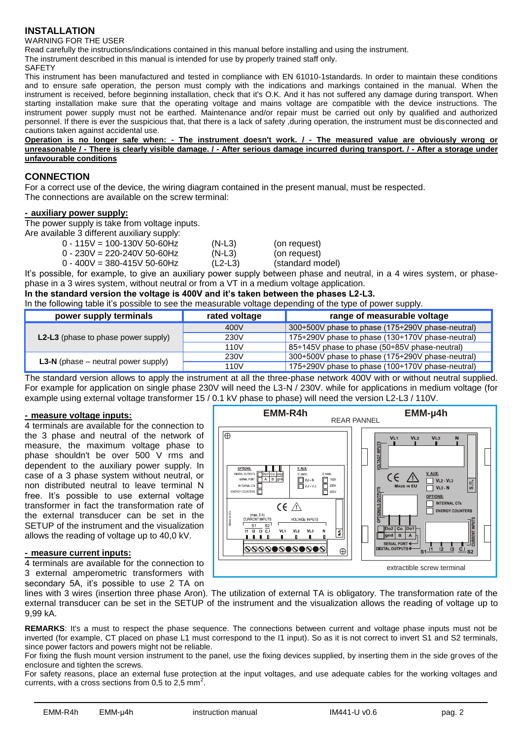# **INSTALLATION**

WARNING FOR THE USER

Read carefully the instructions/indications contained in this manual before installing and using the instrument.

The instrument described in this manual is intended for use by properly trained staff only.

**SAFETY** 

This instrument has been manufactured and tested in compliance with EN 61010-1standards. In order to maintain these conditions and to ensure safe operation, the person must comply with the indications and markings contained in the manual. When the instrument is received, before beginning installation, check that it's O.K. And it has not suffered any damage during transport. When starting installation make sure that the operating voltage and mains voltage are compatible with the device instructions. The instrument power supply must not be earthed. Maintenance and/or repair must be carried out only by qualified and authorized personnel. If there is ever the suspicious that, that there is a lack of safety ,during operation, the instrument must be disconnected and cautions taken against accidental use.

**Operation is no longer safe when: - The instrument doesn't work. / - The measured value are obviously wrong or unreasonable / - There is clearly visible damage. / - After serious damage incurred during transport. / - After a storage under unfavourable conditions**

# **CONNECTION**

For a correct use of the device, the wiring diagram contained in the present manual, must be respected. The connections are available on the screw terminal:

#### **- auxiliary power supply:**

The power supply is take from voltage inputs.

Are available 3 different auxiliary supply:

| 0 - 115V = 100-130V 50-60Hz | $(N-L3)$  | (on request)     |
|-----------------------------|-----------|------------------|
| 0 - 230V = 220-240V 50-60Hz | $(N-L3)$  | (on request)     |
| 0 - 400V = 380-415V 50-60Hz | $(L2-L3)$ | (standard model) |
|                             |           |                  |

It's possible, for example, to give an auxiliary power supply between phase and neutral, in a 4 wires system, or phasephase in a 3 wires system, without neutral or from a VT in a medium voltage application.

#### **In the standard version the voltage is 400V and it's taken between the phases L2-L3.**

In the following table it's possible to see the measurable voltage depending of the type of power supply.

| power supply terminals                       | rated voltage | range of measurable voltage                      |
|----------------------------------------------|---------------|--------------------------------------------------|
|                                              | 400V          | 300÷500V phase to phase (175÷290V phase-neutral) |
| <b>L2-L3</b> (phase to phase power supply)   | 230V          | 175÷290V phase to phase (130÷170V phase-neutral) |
|                                              | 110V          | 85÷145V phase to phase (50÷85V phase-neutral)    |
| <b>L3-N</b> (phase $-$ neutral power supply) | 230V          | 300÷500V phase to phase (175÷290V phase-neutral) |
|                                              | 110V          | 175÷290V phase to phase (100÷170V phase-neutral) |

The standard version allows to apply the instrument at all the three-phase network 400V with or without neutral supplied. For example for application on single phase 230V will need the L3-N / 230V. while for applications in medium voltage (for example using external voltage transformer 15 / 0.1 kV phase to phase) will need the version L2-L3 / 110V.

#### **- measure voltage inputs:**

4 terminals are available for the connection to the 3 phase and neutral of the network of measure, the maximum voltage phase to phase shouldn't be over 500 V rms and dependent to the auxiliary power supply. In case of a 3 phase system without neutral, or non distributed neutral to leave terminal N free. It's possible to use external voltage transformer in fact the transformation rate of the external transducer can be set in the SETUP of the instrument and the visualization allows the reading of voltage up to 40,0 kV.

#### **- measure current inputs:**

4 terminals are available for the connection to 3 external amperometric transformers with secondary 5A, it's possible to use 2 TA on



lines with 3 wires (insertion three phase Aron). The utilization of external TA is obligatory. The transformation rate of the external transducer can be set in the SETUP of the instrument and the visualization allows the reading of voltage up to 9,99 kA.

**REMARKS**: It's a must to respect the phase sequence. The connections between current and voltage phase inputs must not be inverted (for example, CT placed on phase L1 must correspond to the I1 input). So as it is not correct to invert S1 and S2 terminals, since power factors and powers might not be reliable.

For fixing the flush mount version instrument to the panel, use the fixing devices supplied, by inserting them in the side groves of the enclosure and tighten the screws.

For safety reasons, place an external fuse protection at the input voltages, and use adequate cables for the working voltages and currents, with a cross sections from 0,5 to 2,5 mm<sup>2</sup>.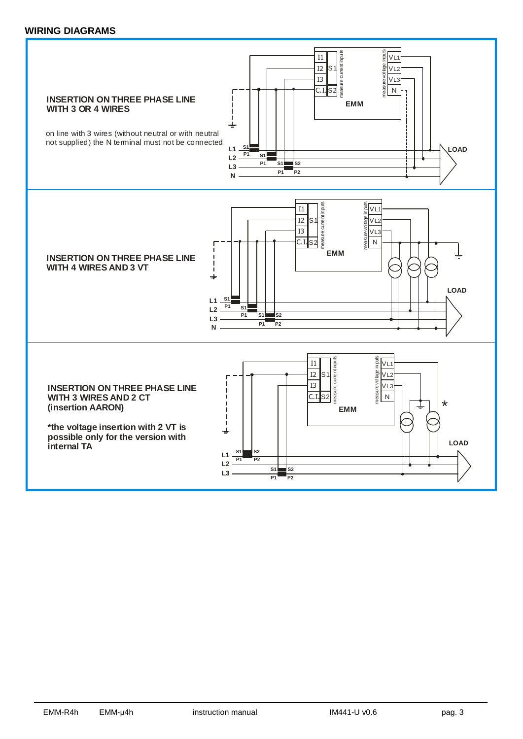#### **WIRING DIAGRAMS**

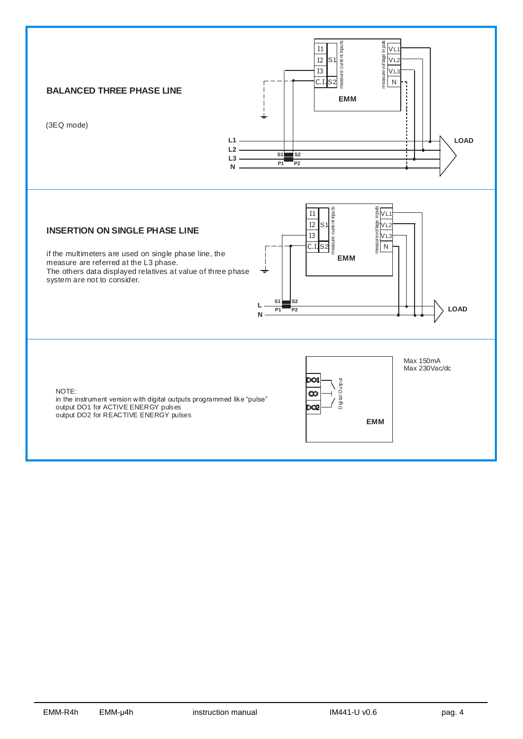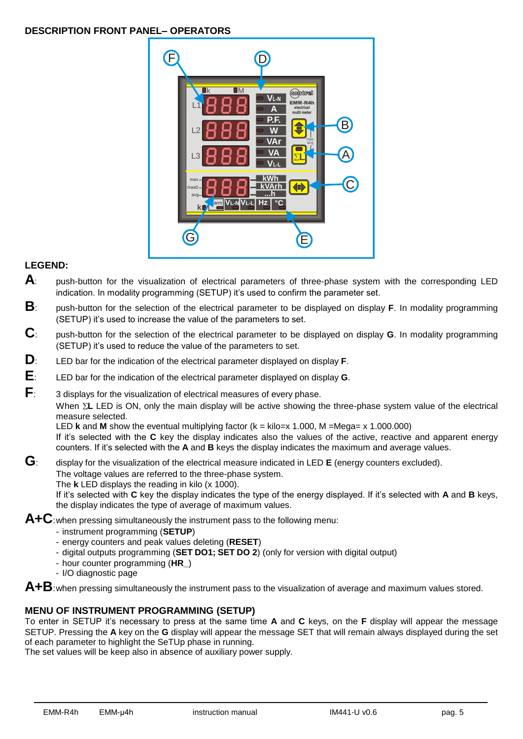# **DESCRIPTION FRONT PANEL– OPERATORS**



# **LEGEND:**

- **A**: push-button for the visualization of electrical parameters of three-phase system with the corresponding LED indication. In modality programming (SETUP) it's used to confirm the parameter set.
- **B**: push-button for the selection of the electrical parameter to be displayed on display **F**. In modality programming (SETUP) it's used to increase the value of the parameters to set.
- **C**: push-button for the selection of the electrical parameter to be displayed on display **G**. In modality programming (SETUP) it's used to reduce the value of the parameters to set.
- **D**: LED bar for the indication of the electrical parameter displayed on display **F**.
- **E**: LED bar for the indication of the electrical parameter displayed on display **G**.
- **F**: 3 displays for the visualization of electrical measures of every phase.

When  $\Sigma$ **L** LED is ON, only the main display will be active showing the three-phase system value of the electrical measure selected.

LED **k** and **M** show the eventual multiplying factor (k = kilo=x 1.000, M =Mega= x 1.000.000) If it's selected with the **C** key the display indicates also the values of the active, reactive and apparent energy counters. If it's selected with the **A** and **B** keys the display indicates the maximum and average values.

**G**: display for the visualization of the electrical measure indicated in LED **<sup>E</sup>** (energy counters excluded). The voltage values are referred to the three-phase system. The **k** LED displays the reading in kilo (x 1000). If it's selected with **C** key the display indicates the type of the energy displayed. If it's selected with **A** and **B** keys,

the display indicates the type of average of maximum values.

**A+C**:when pressing simultaneously the instrument pass to the following menu:

- instrument programming (**SETUP**)
- energy counters and peak values deleting (**RESET**)
- digital outputs programming (**SET DO1; SET DO 2**) (only for version with digital output)
- hour counter programming (**HR\_**)
- I/O diagnostic page

**A+B**:when pressing simultaneously the instrument pass to the visualization of average and maximum values stored.

#### **MENU OF INSTRUMENT PROGRAMMING (SETUP)**

To enter in SETUP it's necessary to press at the same time **A** and **C** keys, on the **F** display will appear the message SETUP. Pressing the **A** key on the **G** display will appear the message SET that will remain always displayed during the set of each parameter to highlight the SeTUp phase in running.

The set values will be keep also in absence of auxiliary power supply.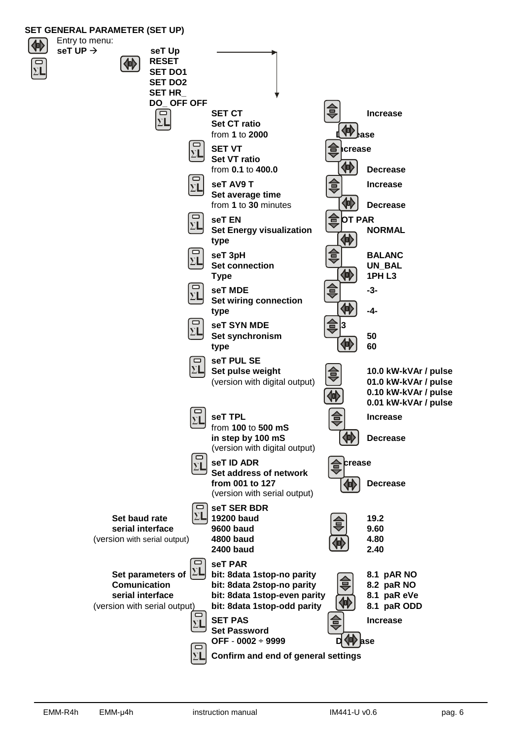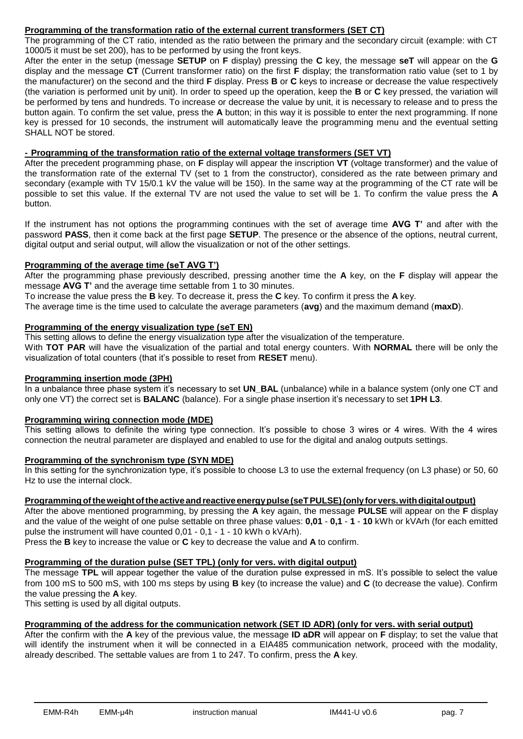#### **Programming of the transformation ratio of the external current transformers (SET CT)**

The programming of the CT ratio, intended as the ratio between the primary and the secondary circuit (example: with CT 1000/5 it must be set 200), has to be performed by using the front keys.

After the enter in the setup (message **SETUP** on **F** display) pressing the **C** key, the message **seT** will appear on the **G** display and the message **CT** (Current transformer ratio) on the first **F** display; the transformation ratio value (set to 1 by the manufacturer) on the second and the third **F** display. Press **B** or **C** keys to increase or decrease the value respectively (the variation is performed unit by unit). In order to speed up the operation, keep the **B** or **C** key pressed, the variation will be performed by tens and hundreds. To increase or decrease the value by unit, it is necessary to release and to press the button again. To confirm the set value, press the **A** button; in this way it is possible to enter the next programming. If none key is pressed for 10 seconds, the instrument will automatically leave the programming menu and the eventual setting SHALL NOT be stored.

# **- Programming of the transformation ratio of the external voltage transformers (SET VT)**

After the precedent programming phase, on **F** display will appear the inscription **VT** (voltage transformer) and the value of the transformation rate of the external TV (set to 1 from the constructor), considered as the rate between primary and secondary (example with TV 15/0.1 kV the value will be 150). In the same way at the programming of the CT rate will be possible to set this value. If the external TV are not used the value to set will be 1. To confirm the value press the **A** button.

If the instrument has not options the programming continues with the set of average time **AVG T'** and after with the password **PASS**, then it come back at the first page **SETUP**. The presence or the absence of the options, neutral current, digital output and serial output, will allow the visualization or not of the other settings.

# **Programming of the average time (seT AVG T')**

After the programming phase previously described, pressing another time the **A** key, on the **F** display will appear the message **AVG T'** and the average time settable from 1 to 30 minutes.

To increase the value press the **B** key. To decrease it, press the **C** key. To confirm it press the **A** key.

The average time is the time used to calculate the average parameters (**avg**) and the maximum demand (**maxD**).

#### **Programming of the energy visualization type (seT EN)**

This setting allows to define the energy visualization type after the visualization of the temperature. With **TOT PAR** will have the visualization of the partial and total energy counters. With **NORMAL** there will be only the visualization of total counters (that it's possible to reset from **RESET** menu).

#### **Programming insertion mode (3PH)**

In a unbalance three phase system it's necessary to set **UN\_BAL** (unbalance) while in a balance system (only one CT and only one VT) the correct set is **BALANC** (balance). For a single phase insertion it's necessary to set **1PH L3**.

#### **Programming wiring connection mode (MDE)**

This setting allows to definite the wiring type connection. It's possible to chose 3 wires or 4 wires. With the 4 wires connection the neutral parameter are displayed and enabled to use for the digital and analog outputs settings.

#### **Programming of the synchronism type (SYN MDE)**

In this setting for the synchronization type, it's possible to choose L3 to use the external frequency (on L3 phase) or 50, 60 Hz to use the internal clock.

#### **Programmingoftheweightoftheactiveandreactiveenergypulse(seTPULSE)(onlyforvers.withdigitaloutput)**

After the above mentioned programming, by pressing the **A** key again, the message **PULSE** will appear on the **F** display and the value of the weight of one pulse settable on three phase values: **0,01** - **0,1** - **1** - **10** kWh or kVArh (for each emitted pulse the instrument will have counted 0,01 - 0,1 - 1 - 10 kWh o kVArh).

Press the **B** key to increase the value or **C** key to decrease the value and **A** to confirm.

#### **Programming of the duration pulse (SET TPL) (only for vers. with digital output)**

The message **TPL** will appear together the value of the duration pulse expressed in mS. It's possible to select the value from 100 mS to 500 mS, with 100 ms steps by using **B** key (to increase the value) and **C** (to decrease the value). Confirm the value pressing the **A** key.

This setting is used by all digital outputs.

#### **Programming of the address for the communication network (SET ID ADR) (only for vers. with serial output)**

After the confirm with the **A** key of the previous value, the message **ID aDR** will appear on **F** display; to set the value that will identify the instrument when it will be connected in a EIA485 communication network, proceed with the modality, already described. The settable values are from 1 to 247. To confirm, press the **A** key.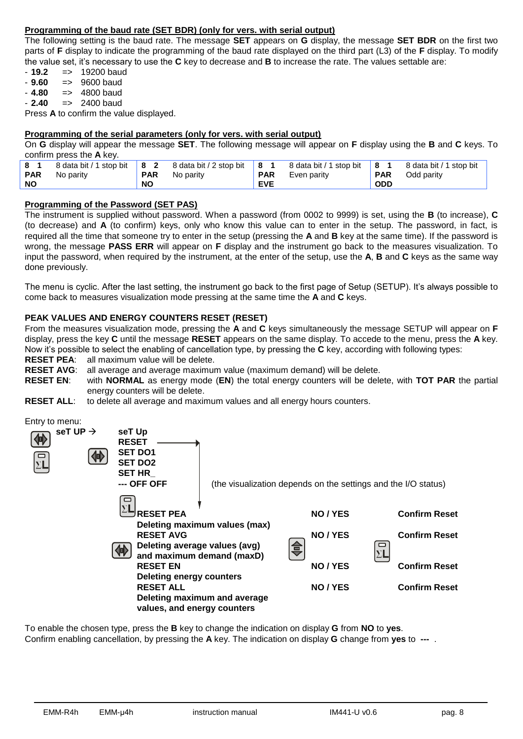# **Programming of the baud rate (SET BDR) (only for vers. with serial output)**

The following setting is the baud rate. The message **SET** appears on **G** display, the message **SET BDR** on the first two parts of **F** display to indicate the programming of the baud rate displayed on the third part (L3) of the **F** display. To modify the value set, it's necessary to use the **C** key to decrease and **B** to increase the rate. The values settable are:

- **19.2** => 19200 baud

- **9.60** => 9600 baud
- $-4.80$   $\implies$  4800 baud
- $-2.40 = 2400$  baud

Press **A** to confirm the value displayed.

#### **Programming of the serial parameters (only for vers. with serial output)**

On **G** display will appear the message **SET**. The following message will appear on **F** display using the **B** and **C** keys. To confirm press the **A** key.

| 81<br><b>PAR</b> | 8 data bit / 1 stop bit   8 2 8 data bit / 2 stop bit<br>No parity | <b>PAR</b> | No parity | 8  <br><b>PAR</b> | 8 data bit / 1 stop bit<br>Even parity | $^{\prime}$ 8 1<br><b>PAR</b> | 8 data bit / 1 stop bit<br>Odd parity |
|------------------|--------------------------------------------------------------------|------------|-----------|-------------------|----------------------------------------|-------------------------------|---------------------------------------|
| <b>NO</b>        |                                                                    | <b>NO</b>  |           | <b>EVE</b>        |                                        | <b>ODD</b>                    |                                       |

#### **Programming of the Password (SET PAS)**

The instrument is supplied without password. When a password (from 0002 to 9999) is set, using the **B** (to increase), **C** (to decrease) and **A** (to confirm) keys, only who know this value can to enter in the setup. The password, in fact, is required all the time that someone try to enter in the setup (pressing the **A** and **B** key at the same time). If the password is wrong, the message **PASS ERR** will appear on **F** display and the instrument go back to the measures visualization. To input the password, when required by the instrument, at the enter of the setup, use the **A**, **B** and **C** keys as the same way done previously.

The menu is cyclic. After the last setting, the instrument go back to the first page of Setup (SETUP). It's always possible to come back to measures visualization mode pressing at the same time the **A** and **C** keys.

#### **PEAK VALUES AND ENERGY COUNTERS RESET (RESET)**

From the measures visualization mode, pressing the **A** and **C** keys simultaneously the message SETUP will appear on **F** display, press the key **C** until the message **RESET** appears on the same display. To accede to the menu, press the **A** key. Now it's possible to select the enabling of cancellation type, by pressing the **C** key, according with following types:

**RESET PEA:** all maximum value will be delete.<br>**RESET AVG:** all average and average maximure

- all average and average maximum value (maximum demand) will be delete.
- **RESET EN**: with **NORMAL** as energy mode (**EN**) the total energy counters will be delete, with **TOT PAR** the partial energy counters will be delete.
- **RESET ALL:** to delete all average and maximum values and all energy hours counters.

Entry to menu:

| seT UP $\rightarrow$<br>$\overline{\Sigma}$ | seT Up<br><b>RESET</b><br><b>SET DO1</b><br><b>SET DO2</b><br><b>SET HR</b><br>--- OFF OFF                                                                                                                  |                                                               | (the visualization depends on the settings and the I/O status) |                                                                                              |
|---------------------------------------------|-------------------------------------------------------------------------------------------------------------------------------------------------------------------------------------------------------------|---------------------------------------------------------------|----------------------------------------------------------------|----------------------------------------------------------------------------------------------|
|                                             | <b>RESET PEA</b><br><b>RESET AVG</b><br>Deleting average values (avg)<br>and maximum demand (maxD)<br><b>RESET EN</b><br><b>Deleting energy counters</b><br><b>RESET ALL</b><br>values, and energy counters | Deleting maximum values (max)<br>Deleting maximum and average | NO / YES<br>NO / YES<br>⇔<br>NO / YES<br>NO / YES              | <b>Confirm Reset</b><br><b>Confirm Reset</b><br><b>Confirm Reset</b><br><b>Confirm Reset</b> |

To enable the chosen type, press the **B** key to change the indication on display **G** from **NO** to **yes**. Confirm enabling cancellation, by pressing the **A** key. The indication on display **G** change from **yes** to **---** .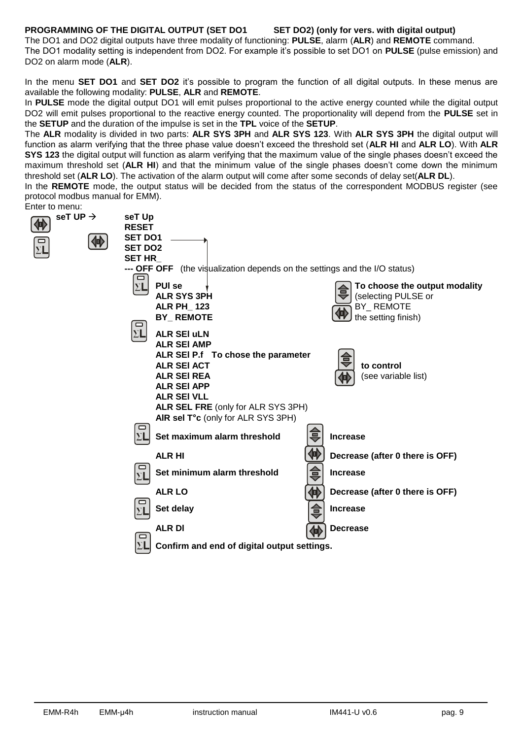#### **PROGRAMMING OF THE DIGITAL OUTPUT (SET DO1 SET DO2) (only for vers. with digital output)**

The DO1 and DO2 digital outputs have three modality of functioning: **PULSE**, alarm (**ALR**) and **REMOTE** command. The DO1 modality setting is independent from DO2. For example it's possible to set DO1 on **PULSE** (pulse emission) and DO2 on alarm mode (**ALR**).

In the menu **SET DO1** and **SET DO2** it's possible to program the function of all digital outputs. In these menus are available the following modality: **PULSE**, **ALR** and **REMOTE**.

In **PULSE** mode the digital output DO1 will emit pulses proportional to the active energy counted while the digital output DO2 will emit pulses proportional to the reactive energy counted. The proportionality will depend from the **PULSE** set in the **SETUP** and the duration of the impulse is set in the **TPL** voice of the **SETUP**.

The **ALR** modality is divided in two parts: **ALR SYS 3PH** and **ALR SYS 123**. With **ALR SYS 3PH** the digital output will function as alarm verifying that the three phase value doesn't exceed the threshold set (**ALR HI** and **ALR LO**). With **ALR SYS 123** the digital output will function as alarm verifying that the maximum value of the single phases doesn't exceed the maximum threshold set (**ALR HI**) and that the minimum value of the single phases doesn't come down the minimum threshold set (**ALR LO**). The activation of the alarm output will come after some seconds of delay set(**ALR DL**).

In the **REMOTE** mode, the output status will be decided from the status of the correspondent MODBUS register (see protocol modbus manual for EMM).

| Enter to menu:            |                                                                                                                                                                                                                                                                         |                                                                                                |
|---------------------------|-------------------------------------------------------------------------------------------------------------------------------------------------------------------------------------------------------------------------------------------------------------------------|------------------------------------------------------------------------------------------------|
| seT UP $\rightarrow$<br>俐 | seT Up<br><b>RESET</b>                                                                                                                                                                                                                                                  |                                                                                                |
| 他                         | <b>SET DO1</b><br><b>SET DO2</b><br><b>SET HR</b><br>--- OFF OFF (the visualization depends on the settings and the I/O status)                                                                                                                                         |                                                                                                |
|                           | ▭<br><b>PUI se</b><br>$\Sigma$ L<br><b>ALR SYS 3PH</b><br><b>ALR PH 123</b><br><b>BY_REMOTE</b><br>▭                                                                                                                                                                    | To choose the output modality<br>(selecting PULSE or<br>BY_REMOTE<br>V)<br>the setting finish) |
|                           | $\Sigma$ L<br><b>ALR SEI uLN</b><br><b>ALR SEI AMP</b><br>ALR SEI P.f To chose the parameter<br><b>ALR SEI ACT</b><br><b>ALR SEI REA</b><br><b>ALR SEI APP</b><br><b>ALR SEI VLL</b><br><b>ALR SEL FRE (only for ALR SYS 3PH)</b><br>AIR sel T°c (only for ALR SYS 3PH) | to control<br>(see variable list)                                                              |
|                           | Set maximum alarm threshold<br>ΣL                                                                                                                                                                                                                                       | <b>Increase</b>                                                                                |
|                           | <b>ALR HI</b>                                                                                                                                                                                                                                                           | Decrease (after 0 there is OFF)                                                                |
|                           | Set minimum alarm threshold<br>$\Sigma$ L                                                                                                                                                                                                                               | €<br><b>Increase</b>                                                                           |
|                           | <b>ALR LO</b>                                                                                                                                                                                                                                                           | 仲<br>Decrease (after 0 there is OFF)                                                           |
|                           | Set delay                                                                                                                                                                                                                                                               | $\triangleq$<br><b>Increase</b>                                                                |
|                           | <b>ALR DI</b>                                                                                                                                                                                                                                                           | <b>Decrease</b>                                                                                |
|                           | $\Box$<br>ΣL<br>Confirm and end of digital output settings.                                                                                                                                                                                                             |                                                                                                |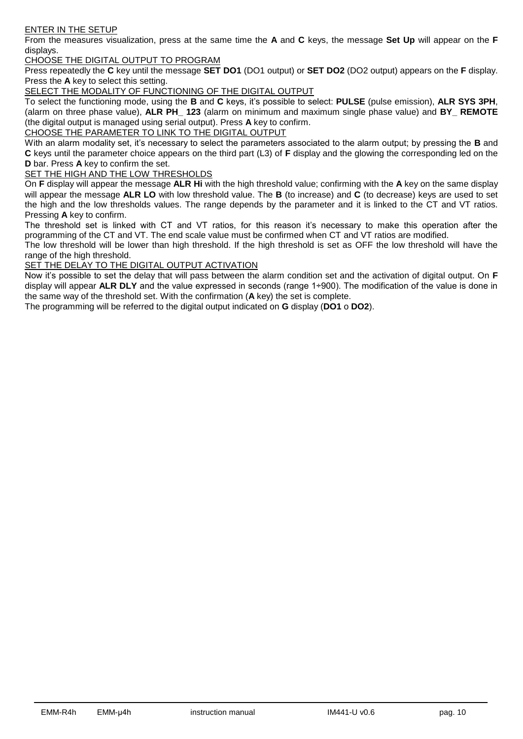#### ENTER IN THE SETUP

From the measures visualization, press at the same time the **A** and **C** keys, the message **Set Up** will appear on the **F** displays.

#### CHOOSE THE DIGITAL OUTPUT TO PROGRAM

Press repeatedly the **C** key until the message **SET DO1** (DO1 output) or **SET DO2** (DO2 output) appears on the **F** display. Press the **A** key to select this setting.

SELECT THE MODALITY OF FUNCTIONING OF THE DIGITAL OUTPUT

To select the functioning mode, using the **B** and **C** keys, it's possible to select: **PULSE** (pulse emission), **ALR SYS 3PH**, (alarm on three phase value), **ALR PH\_ 123** (alarm on minimum and maximum single phase value) and **BY\_ REMOTE** (the digital output is managed using serial output). Press **A** key to confirm.

CHOOSE THE PARAMETER TO LINK TO THE DIGITAL OUTPUT

With an alarm modality set, it's necessary to select the parameters associated to the alarm output; by pressing the **B** and **C** keys until the parameter choice appears on the third part (L3) of **F** display and the glowing the corresponding led on the **D** bar. Press **A** key to confirm the set.

#### SET THE HIGH AND THE LOW THRESHOLDS

On **F** display will appear the message **ALR Hi** with the high threshold value; confirming with the **A** key on the same display will appear the message **ALR LO** with low threshold value. The **B** (to increase) and **C** (to decrease) keys are used to set the high and the low thresholds values. The range depends by the parameter and it is linked to the CT and VT ratios. Pressing **A** key to confirm.

The threshold set is linked with CT and VT ratios, for this reason it's necessary to make this operation after the programming of the CT and VT. The end scale value must be confirmed when CT and VT ratios are modified.

The low threshold will be lower than high threshold. If the high threshold is set as OFF the low threshold will have the range of the high threshold.

SET THE DELAY TO THE DIGITAL OUTPUT ACTIVATION

Now it's possible to set the delay that will pass between the alarm condition set and the activation of digital output. On **F** display will appear **ALR DLY** and the value expressed in seconds (range 1÷900). The modification of the value is done in the same way of the threshold set. With the confirmation (**A** key) the set is complete.

The programming will be referred to the digital output indicated on **G** display (**DO1** o **DO2**).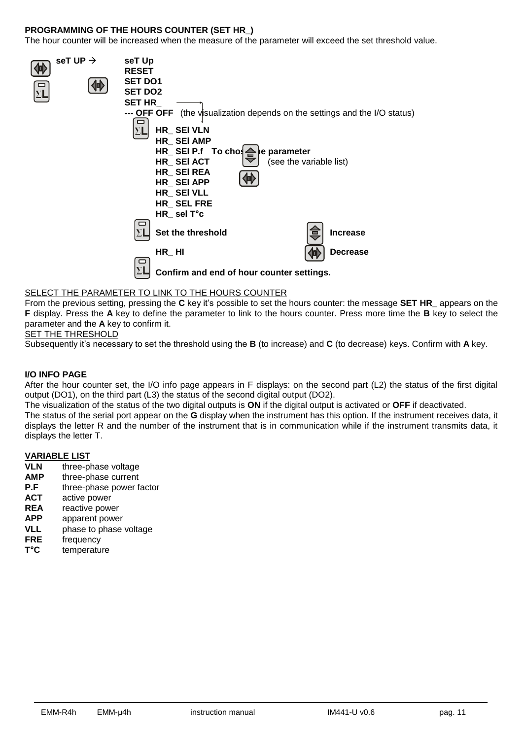#### **PROGRAMMING OF THE HOURS COUNTER (SET HR\_)**

The hour counter will be increased when the measure of the parameter will exceed the set threshold value.

| seT UP $\rightarrow$ | seT Up<br><b>RESET</b><br><b>SET DO1</b> |                                           |                         |                                                                                   |
|----------------------|------------------------------------------|-------------------------------------------|-------------------------|-----------------------------------------------------------------------------------|
|                      | <b>SET DO2</b>                           |                                           |                         |                                                                                   |
|                      | <b>SET HR</b>                            |                                           |                         |                                                                                   |
|                      |                                          |                                           |                         | <b>--- OFF OFF</b> (the visualization depends on the settings and the I/O status) |
|                      |                                          | HR_SEI VLN                                |                         |                                                                                   |
|                      |                                          | HR_SEI AMP                                |                         |                                                                                   |
|                      |                                          | HR_SEI P.f To chose                       | e parameter             |                                                                                   |
|                      |                                          | HR SEI ACT                                | (see the variable list) |                                                                                   |
|                      |                                          | HR_SEIREA                                 |                         |                                                                                   |
|                      |                                          | HR_SEI APP                                |                         |                                                                                   |
|                      |                                          | HR_SEIVLL                                 |                         |                                                                                   |
|                      |                                          | HR_SEL FRE                                |                         |                                                                                   |
|                      |                                          | $HR$ sel T°c                              |                         |                                                                                   |
|                      |                                          | Set the threshold                         |                         | <b>Increase</b>                                                                   |
|                      |                                          | $HR$ <sub>_</sub> HI                      |                         | <b>Decrease</b>                                                                   |
|                      |                                          | Confirm and end of hour counter settings. |                         |                                                                                   |

#### SELECT THE PARAMETER TO LINK TO THE HOURS COUNTER

From the previous setting, pressing the **C** key it's possible to set the hours counter: the message **SET HR\_** appears on the **F** display. Press the **A** key to define the parameter to link to the hours counter. Press more time the **B** key to select the parameter and the **A** key to confirm it.

#### SET THE THRESHOLD

Subsequently it's necessary to set the threshold using the **B** (to increase) and **C** (to decrease) keys. Confirm with **A** key.

#### **I/O INFO PAGE**

After the hour counter set, the I/O info page appears in F displays: on the second part (L2) the status of the first digital output (DO1), on the third part (L3) the status of the second digital output (DO2).

The visualization of the status of the two digital outputs is **ON** if the digital output is activated or **OFF** if deactivated.

The status of the serial port appear on the **G** display when the instrument has this option. If the instrument receives data, it displays the letter R and the number of the instrument that is in communication while if the instrument transmits data, it displays the letter T.

# **VARIABLE LIST**<br>**VLN** three-pl

- **VLN** three-phase voltage
- **AMP** three-phase current<br>**P.F** three-phase power f
- three-phase power factor
- **ACT** active power
- **REA** reactive power
- **APP** apparent power
- **VLL** phase to phase voltage
- **FRE** frequency
- **T°C** temperature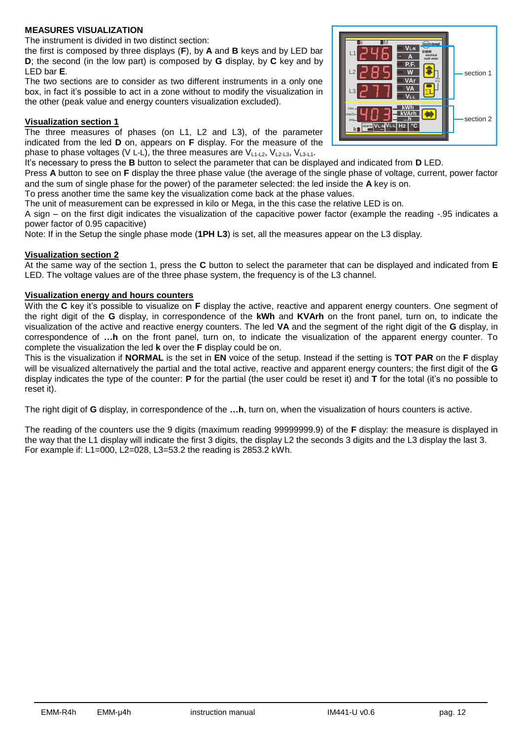#### **MEASURES VISUALIZATION**

The instrument is divided in two distinct section:

the first is composed by three displays (**F**), by **A** and **B** keys and by LED bar **D**; the second (in the low part) is composed by **G** display, by **C** key and by LED bar **E**.

The two sections are to consider as two different instruments in a only one box, in fact it's possible to act in a zone without to modify the visualization in the other (peak value and energy counters visualization excluded).

#### **Visualization section 1**

The three measures of phases (on L1, L2 and L3), of the parameter indicated from the led **D** on, appears on **F** display. For the measure of the phase to phase voltages (V L-L), the three measures are  $V_{11-12}$ ,  $V_{12-13}$ ,  $V_{13-11}$ .

It's necessary to press the **B** button to select the parameter that can be displayed and indicated from **D** LED.

Press **A** button to see on **F** display the three phase value (the average of the single phase of voltage, current, power factor and the sum of single phase for the power) of the parameter selected: the led inside the **A** key is on.

To press another time the same key the visualization come back at the phase values.

The unit of measurement can be expressed in kilo or Mega, in the this case the relative LED is on.

A sign – on the first digit indicates the visualization of the capacitive power factor (example the reading -.95 indicates a power factor of 0.95 capacitive)

Note: If in the Setup the single phase mode (**1PH L3**) is set, all the measures appear on the L3 display.

#### **Visualization section 2**

At the same way of the section 1, press the **C** button to select the parameter that can be displayed and indicated from **E** LED. The voltage values are of the three phase system, the frequency is of the L3 channel.

#### **Visualization energy and hours counters**

With the **C** key it's possible to visualize on **F** display the active, reactive and apparent energy counters. One segment of the right digit of the **G** display, in correspondence of the **kWh** and **KVArh** on the front panel, turn on, to indicate the visualization of the active and reactive energy counters. The led **VA** and the segment of the right digit of the **G** display, in correspondence of **…h** on the front panel, turn on, to indicate the visualization of the apparent energy counter. To complete the visualization the led **k** over the **F** display could be on.

This is the visualization if **NORMAL** is the set in **EN** voice of the setup. Instead if the setting is **TOT PAR** on the **F** display will be visualized alternatively the partial and the total active, reactive and apparent energy counters; the first digit of the **G** display indicates the type of the counter: **P** for the partial (the user could be reset it) and **T** for the total (it's no possible to reset it).

The right digit of **G** display, in correspondence of the **…h**, turn on, when the visualization of hours counters is active.

The reading of the counters use the 9 digits (maximum reading 99999999.9) of the **F** display: the measure is displayed in the way that the L1 display will indicate the first 3 digits, the display L2 the seconds 3 digits and the L3 display the last 3. For example if:  $L1=000$ ,  $L2=028$ ,  $L3=53.2$  the reading is 2853.2 kWh.

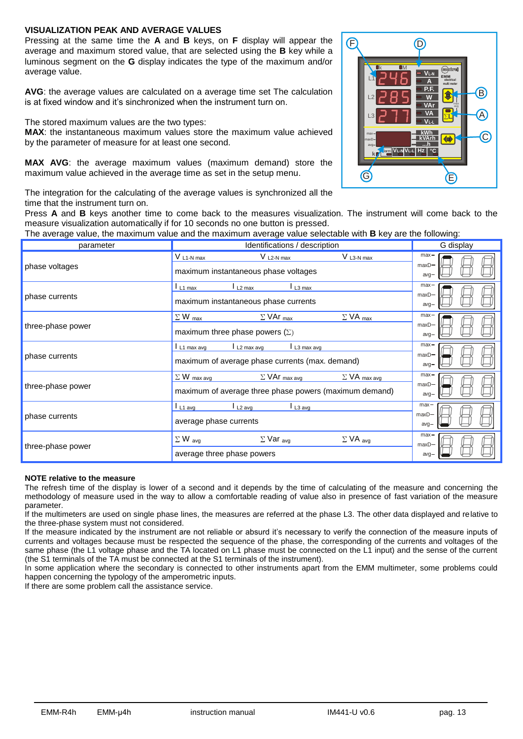#### **VISUALIZATION PEAK AND AVERAGE VALUES**

Pressing at the same time the **A** and **B** keys, on **F** display will appear the average and maximum stored value, that are selected using the **B** key while a luminous segment on the **G** display indicates the type of the maximum and/or average value.

**AVG**: the average values are calculated on a average time set The calculation is at fixed window and it's sinchronized when the instrument turn on.

The stored maximum values are the two types:

**MAX**: the instantaneous maximum values store the maximum value achieved by the parameter of measure for at least one second.

**MAX AVG**: the average maximum values (maximum demand) store the maximum value achieved in the average time as set in the setup menu.

The integration for the calculating of the average values is synchronized all the time that the instrument turn on.

Press **A** and **B** keys another time to come back to the measures visualization. The instrument will come back to the measure visualization automatically if for 10 seconds no one button is pressed.

The average value, the maximum value and the maximum average value selectable with **B** key are the following:

| parameter         | Identifications / description                                                                                                   | G display                     |
|-------------------|---------------------------------------------------------------------------------------------------------------------------------|-------------------------------|
| phase voltages    | $V$ L <sub>2</sub> -N max<br>$V$ L <sub>3</sub> - $N$ max<br>$V_{L1-Nmax}$<br>maximum instantaneous phase voltages              | $max -$<br>$maxD -$<br>$avg-$ |
| phase currents    | $\mathsf{L}_{2\,\text{max}}$<br>$\mathsf{L}$ L3 max<br>$L_1$ max<br>maximum instantaneous phase currents                        | $max-$<br>$maxD-$<br>$avg-$   |
| three-phase power | $\Sigma$ W max<br>$\Sigma$ VA max<br>$\Sigma$ VAr $_{\text{max}}$<br>maximum three phase powers $(\Sigma)$                      | $max-$<br>$maxD -$<br>$avg-$  |
| phase currents    | L2 max avg<br>L3 max avg<br>$L_1$ max avg<br>maximum of average phase currents (max. demand)                                    | $max-$<br>$maxD -$<br>$avg-$  |
| three-phase power | $\Sigma$ W max avg<br>$\Sigma$ VA max avg<br>$\Sigma$ VAr $_{maxavg}$<br>maximum of average three phase powers (maximum demand) | $max$ -<br>$maxD -$<br>$avg-$ |
| phase currents    | $\mathsf{L}$ 1 $\mathsf{L}$ 1 $\mathsf{A}$<br>L <sub>2</sub> avg<br>$L_1$ avg<br>average phase currents                         | $max -$<br>$maxD -$<br>$avg-$ |
| three-phase power | $\Sigma$ W avg<br>$\Sigma$ Var <sub>avg</sub><br>$\Sigma$ VA avg<br>average three phase powers                                  | $max$ -<br>$maxD -$<br>$avg-$ |

#### **NOTE relative to the measure**

The refresh time of the display is lower of a second and it depends by the time of calculating of the measure and concerning the methodology of measure used in the way to allow a comfortable reading of value also in presence of fast variation of the measure parameter.

If the multimeters are used on single phase lines, the measures are referred at the phase L3. The other data displayed and relative to the three-phase system must not considered.

If the measure indicated by the instrument are not reliable or absurd it's necessary to verify the connection of the measure inputs of currents and voltages because must be respected the sequence of the phase, the corresponding of the currents and voltages of the same phase (the L1 voltage phase and the TA located on L1 phase must be connected on the L1 input) and the sense of the current (the S1 terminals of the TA must be connected at the S1 terminals of the instrument).

In some application where the secondary is connected to other instruments apart from the EMM multimeter, some problems could happen concerning the typology of the amperometric inputs.

If there are some problem call the assistance service.

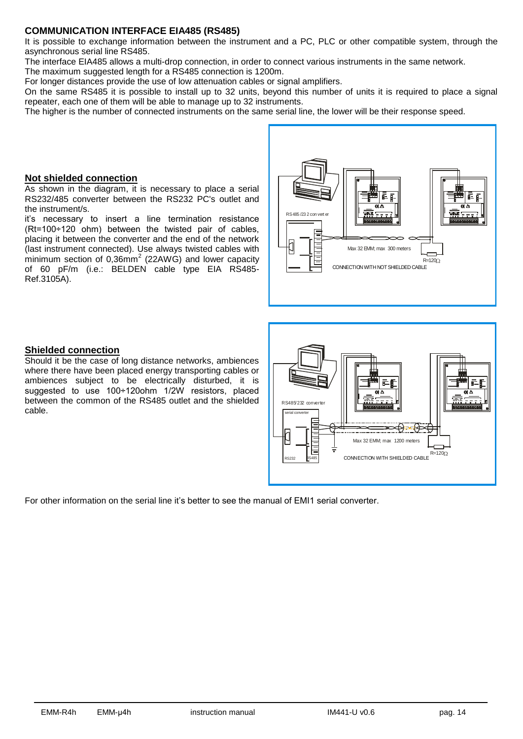# **COMMUNICATION INTERFACE EIA485 (RS485)**

It is possible to exchange information between the instrument and a PC, PLC or other compatible system, through the asynchronous serial line RS485.

The interface EIA485 allows a multi-drop connection, in order to connect various instruments in the same network.

The maximum suggested length for a RS485 connection is 1200m.

For longer distances provide the use of low attenuation cables or signal amplifiers.

On the same RS485 it is possible to install up to 32 units, beyond this number of units it is required to place a signal repeater, each one of them will be able to manage up to 32 instruments.

The higher is the number of connected instruments on the same serial line, the lower will be their response speed.

#### **Not shielded connection**

As shown in the diagram, it is necessary to place a serial RS232/485 converter between the RS232 PC's outlet and the instrument/s.

it's necessary to insert a line termination resistance (Rt=100÷120 ohm) between the twisted pair of cables, placing it between the converter and the end of the network (last instrument connected). Use always twisted cables with minimum section of  $0,36$ mm<sup>2</sup> (22AWG) and lower capacity of 60 pF/m (i.e.: BELDEN cable type EIA RS485- Ref.3105A).



# **Shielded connection**

Should it be the case of long distance networks, ambiences where there have been placed energy transporting cables or ambiences subject to be electrically disturbed, it is suggested to use 100÷120ohm 1/2W resistors, placed between the common of the RS485 outlet and the shielded cable.



For other information on the serial line it's better to see the manual of EMI1 serial converter.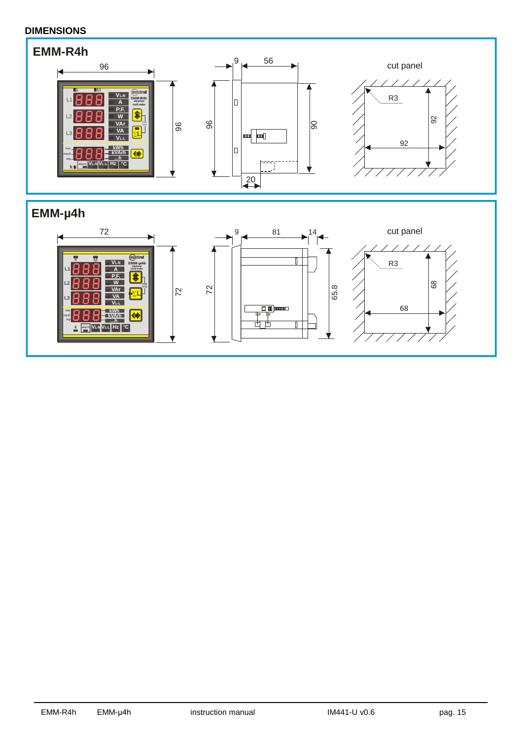# **DIMENSIONS**